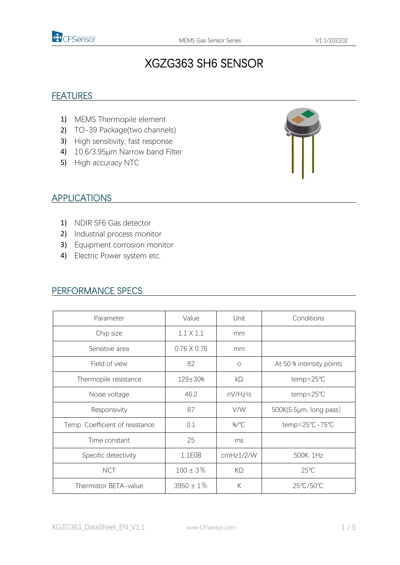

# XGZG363 SH6 SENSOR

#### **FEATURES**

- 1) MEMS Thermopile element
- 2) TO-39 Package(two channels)
- 3) High sensitivity, fast response
- 4) 10.6/3.95μm Narrow band Filter
- 5) High accuracy NTC



#### APPLICATIONS

- 1) NDIR SF6 Gas detector
- 2) Industrial process monitor
- 3) Equipment corrosion monitor
- 4) Electric Power system etc.

#### PERFORMANCE SPECS

| Parameter                       | Value              | Unit      | Conditions               |  |
|---------------------------------|--------------------|-----------|--------------------------|--|
| Chip size                       | $1.1 \times 1.1$   | mm        |                          |  |
| Sensitive area                  | $0.76 \times 0.76$ | mm        |                          |  |
| Field of view                   | 82                 | $\circ$   | At 50 % intensity points |  |
| Thermopile resistance           | 129±30%            | $k\Omega$ | temp=25℃                 |  |
| Noise voltage                   | 46.2               | nV/Hz½    | temp=25℃                 |  |
| Responsivity                    | 87                 | V/W       | 500K(5.5µm, long pass)   |  |
| Temp. Coefficient of resistance | 0.1                | %/°C      | temp=25°C-75°C           |  |
| Time constant                   | 25                 | ms        |                          |  |
| Specific detectivity            | 1.1E08             | cmHz1/2/W | 500K, 1Hz                |  |
| <b>NCT</b>                      | $100 \pm 3\%$      | $K\Omega$ | $25^{\circ}$ C           |  |
| Thermistor BETA-value           | $3950 \pm 1\%$     | К         | 25°C/50°C                |  |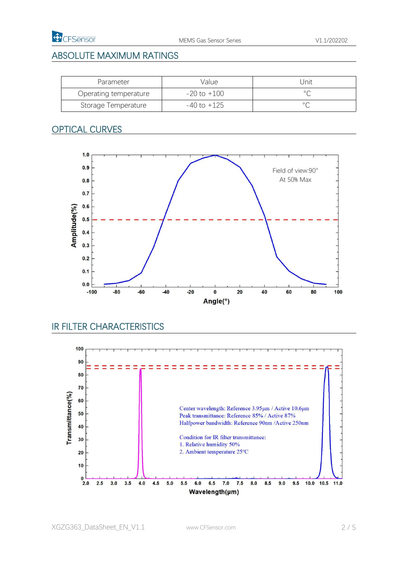

## ABSOLUTE MAXIMUM RATINGS

| Parameter             | Value       | Jnit           |
|-----------------------|-------------|----------------|
| Operating temperature | -20 to +100 | $\circ$        |
| Storage Temperature   | -40 to +125 | $\circ$ $\cap$ |

## OPTICAL CURVES



## IR FILTER CHARACTERISTICS

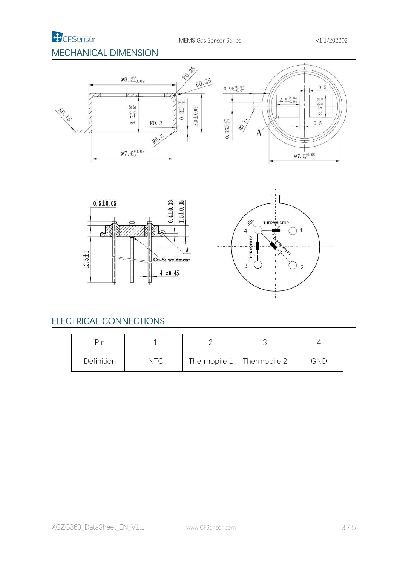## MECHANICAL DIMENSION







## ELECTRICAL CONNECTIONS

| Pin        |     |                             |     |
|------------|-----|-----------------------------|-----|
| Definition | NTC | Thermopile $1$ Thermopile 2 | GND |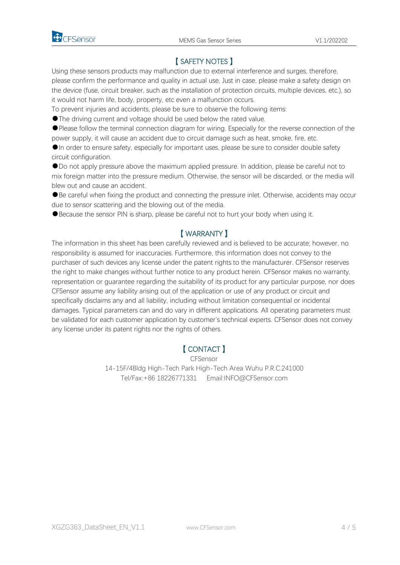

## 【 SAFETY NOTES 】

Using these sensors products may malfunction due to external interference and surges, therefore, please confirm the performance and quality in actual use. Just in case, please make a safety design on the device (fuse, circuit breaker, such as the installation of protection circuits, multiple devices, etc.), so it would not harm life, body, property, etc even a malfunction occurs.

To prevent injuries and accidents, please be sure to observe the following items:

●The driving current and voltage should be used below the rated value.

●Please follow the terminal connection diagram for wiring. Especially for the reverse connection of the power supply, it will cause an accident due to circuit damage such as heat, smoke, fire, etc.

●In order to ensure safety, especially for important uses, please be sure to consider double safety circuit configuration.

●Do not apply pressure above the maximum applied pressure. In addition, please be careful not to mix foreign matter into the pressure medium. Otherwise, the sensor will be discarded, or the media will

blew out and cause an accident.<br>●Be careful when fixing the product and connecting the pressure inlet. Otherwise, accidents may occur due to sensor scattering and the blowing out of the media.

●Because the sensor PIN is sharp, please be careful not to hurt your body when using it.

#### 【 WARRANTY 】

The information in this sheet has been carefully reviewed and is believed to be accurate; however, no responsibility is assumed for inaccuracies. Furthermore, this information does not convey to the purchaser of such devices any license under the patent rights to the manufacturer. CFSensor reserves the right to make changes without further notice to any product herein. CFSensor makes no warranty, representation or guarantee regarding the suitability of its product for any particular purpose, nor does CFSensor assume any liability arising out of the application or use of any product or circuit and specifically disclaims any and all liability, including without limitation consequential or incidental damages. Typical parameters can and do vary in different applications. All operating parameters must be validated for each customer application by customer's technical experts. CFSensor does notconvey any license under its patent rights nor the rights of others.

#### 【 CONTACT 】

CFSensor

14-15F/4Bldg High-Tech Park High-Tech Area Wuhu P.R.C.241000 Tel/Fax:+86 18226771331 Email:INFO@CFSensor.com